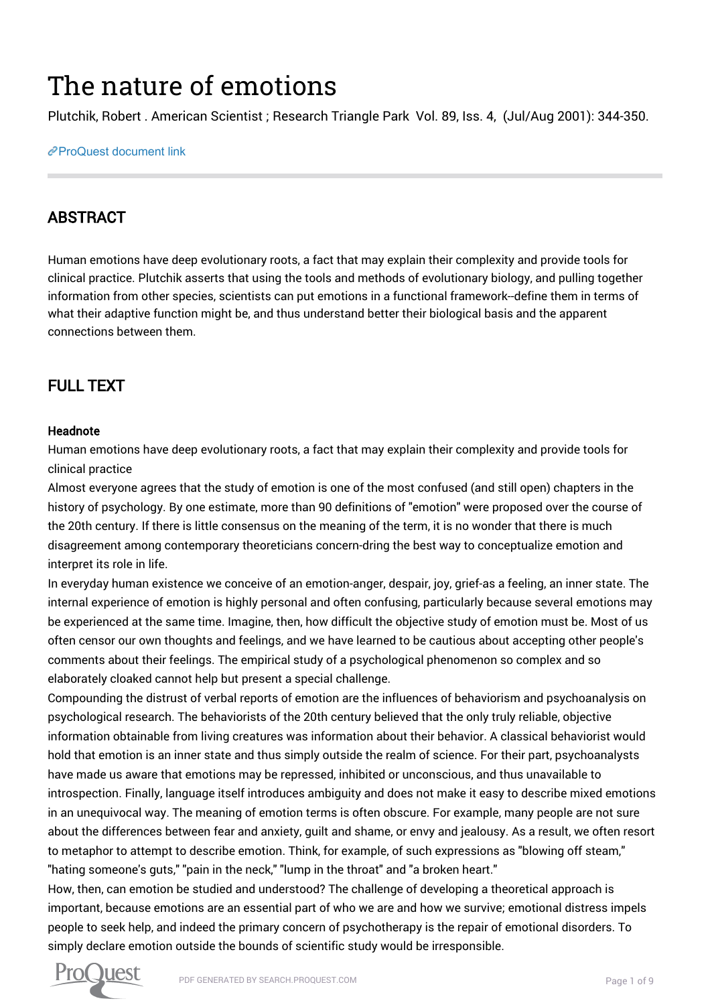# The nature of emotions

Plutchik, Robert . American Scientist ; Research Triangle Park Vol. 89, Iss. 4, (Jul/Aug 2001): 344-350.

#### [ProQuest document link](https://search.proquest.com/docview/215262319?accountid=14750)

# ABSTRACT

Human emotions have deep evolutionary roots, a fact that may explain their complexity and provide tools for clinical practice. Plutchik asserts that using the tools and methods of evolutionary biology, and pulling together information from other species, scientists can put emotions in a functional framework--define them in terms of what their adaptive function might be, and thus understand better their biological basis and the apparent connections between them.

# FULL TEXT

## Headnote

Human emotions have deep evolutionary roots, a fact that may explain their complexity and provide tools for clinical practice

Almost everyone agrees that the study of emotion is one of the most confused (and still open) chapters in the history of psychology. By one estimate, more than 90 definitions of "emotion" were proposed over the course of the 20th century. If there is little consensus on the meaning of the term, it is no wonder that there is much disagreement among contemporary theoreticians concern-dring the best way to conceptualize emotion and interpret its role in life.

In everyday human existence we conceive of an emotion-anger, despair, joy, grief-as a feeling, an inner state. The internal experience of emotion is highly personal and often confusing, particularly because several emotions may be experienced at the same time. Imagine, then, how difficult the objective study of emotion must be. Most of us often censor our own thoughts and feelings, and we have learned to be cautious about accepting other people's comments about their feelings. The empirical study of a psychological phenomenon so complex and so elaborately cloaked cannot help but present a special challenge.

Compounding the distrust of verbal reports of emotion are the influences of behaviorism and psychoanalysis on psychological research. The behaviorists of the 20th century believed that the only truly reliable, objective information obtainable from living creatures was information about their behavior. A classical behaviorist would hold that emotion is an inner state and thus simply outside the realm of science. For their part, psychoanalysts have made us aware that emotions may be repressed, inhibited or unconscious, and thus unavailable to introspection. Finally, language itself introduces ambiguity and does not make it easy to describe mixed emotions in an unequivocal way. The meaning of emotion terms is often obscure. For example, many people are not sure about the differences between fear and anxiety, guilt and shame, or envy and jealousy. As a result, we often resort to metaphor to attempt to describe emotion. Think, for example, of such expressions as "blowing off steam," "hating someone's guts," "pain in the neck," "lump in the throat" and "a broken heart."

How, then, can emotion be studied and understood? The challenge of developing a theoretical approach is important, because emotions are an essential part of who we are and how we survive; emotional distress impels people to seek help, and indeed the primary concern of psychotherapy is the repair of emotional disorders. To simply declare emotion outside the bounds of scientific study would be irresponsible.

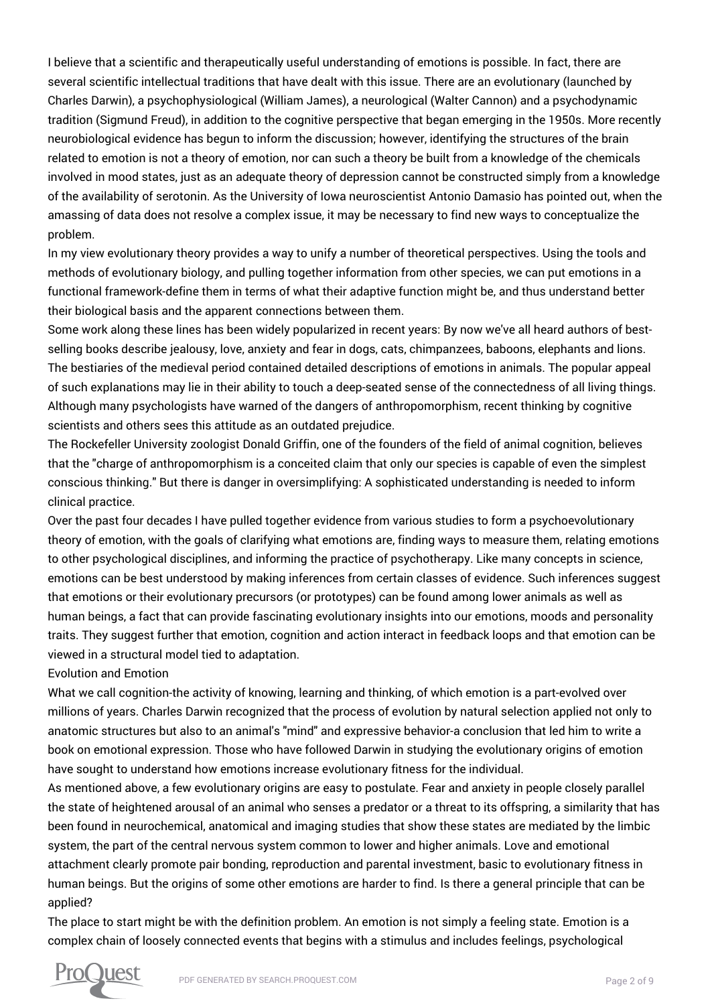I believe that a scientific and therapeutically useful understanding of emotions is possible. In fact, there are several scientific intellectual traditions that have dealt with this issue. There are an evolutionary (launched by Charles Darwin), a psychophysiological (William James), a neurological (Walter Cannon) and a psychodynamic tradition (Sigmund Freud), in addition to the cognitive perspective that began emerging in the 1950s. More recently neurobiological evidence has begun to inform the discussion; however, identifying the structures of the brain related to emotion is not a theory of emotion, nor can such a theory be built from a knowledge of the chemicals involved in mood states, just as an adequate theory of depression cannot be constructed simply from a knowledge of the availability of serotonin. As the University of Iowa neuroscientist Antonio Damasio has pointed out, when the amassing of data does not resolve a complex issue, it may be necessary to find new ways to conceptualize the problem.

In my view evolutionary theory provides a way to unify a number of theoretical perspectives. Using the tools and methods of evolutionary biology, and pulling together information from other species, we can put emotions in a functional framework-define them in terms of what their adaptive function might be, and thus understand better their biological basis and the apparent connections between them.

Some work along these lines has been widely popularized in recent years: By now we've all heard authors of bestselling books describe jealousy, love, anxiety and fear in dogs, cats, chimpanzees, baboons, elephants and lions. The bestiaries of the medieval period contained detailed descriptions of emotions in animals. The popular appeal of such explanations may lie in their ability to touch a deep-seated sense of the connectedness of all living things. Although many psychologists have warned of the dangers of anthropomorphism, recent thinking by cognitive scientists and others sees this attitude as an outdated prejudice.

The Rockefeller University zoologist Donald Griffin, one of the founders of the field of animal cognition, believes that the "charge of anthropomorphism is a conceited claim that only our species is capable of even the simplest conscious thinking." But there is danger in oversimplifying: A sophisticated understanding is needed to inform clinical practice.

Over the past four decades I have pulled together evidence from various studies to form a psychoevolutionary theory of emotion, with the goals of clarifying what emotions are, finding ways to measure them, relating emotions to other psychological disciplines, and informing the practice of psychotherapy. Like many concepts in science, emotions can be best understood by making inferences from certain classes of evidence. Such inferences suggest that emotions or their evolutionary precursors (or prototypes) can be found among lower animals as well as human beings, a fact that can provide fascinating evolutionary insights into our emotions, moods and personality traits. They suggest further that emotion, cognition and action interact in feedback loops and that emotion can be viewed in a structural model tied to adaptation.

#### Evolution and Emotion

What we call cognition-the activity of knowing, learning and thinking, of which emotion is a part-evolved over millions of years. Charles Darwin recognized that the process of evolution by natural selection applied not only to anatomic structures but also to an animal's "mind" and expressive behavior-a conclusion that led him to write a book on emotional expression. Those who have followed Darwin in studying the evolutionary origins of emotion have sought to understand how emotions increase evolutionary fitness for the individual.

As mentioned above, a few evolutionary origins are easy to postulate. Fear and anxiety in people closely parallel the state of heightened arousal of an animal who senses a predator or a threat to its offspring, a similarity that has been found in neurochemical, anatomical and imaging studies that show these states are mediated by the limbic system, the part of the central nervous system common to lower and higher animals. Love and emotional attachment clearly promote pair bonding, reproduction and parental investment, basic to evolutionary fitness in human beings. But the origins of some other emotions are harder to find. Is there a general principle that can be applied?

The place to start might be with the definition problem. An emotion is not simply a feeling state. Emotion is a complex chain of loosely connected events that begins with a stimulus and includes feelings, psychological

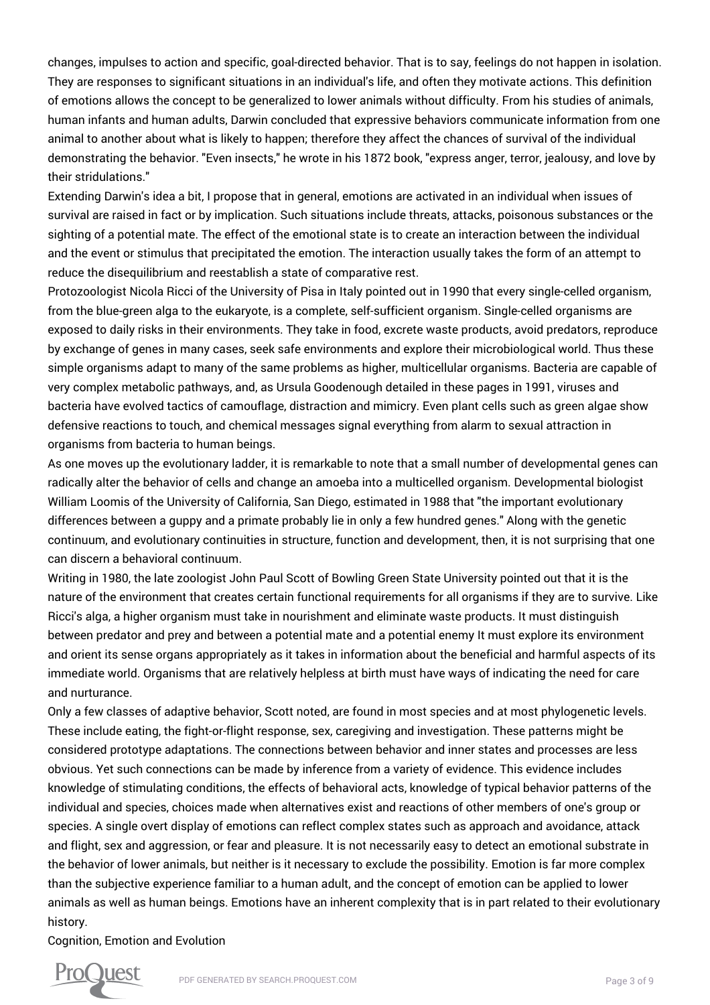changes, impulses to action and specific, goal-directed behavior. That is to say, feelings do not happen in isolation. They are responses to significant situations in an individual's life, and often they motivate actions. This definition of emotions allows the concept to be generalized to lower animals without difficulty. From his studies of animals, human infants and human adults, Darwin concluded that expressive behaviors communicate information from one animal to another about what is likely to happen; therefore they affect the chances of survival of the individual demonstrating the behavior. "Even insects," he wrote in his 1872 book, "express anger, terror, jealousy, and love by their stridulations."

Extending Darwin's idea a bit, I propose that in general, emotions are activated in an individual when issues of survival are raised in fact or by implication. Such situations include threats, attacks, poisonous substances or the sighting of a potential mate. The effect of the emotional state is to create an interaction between the individual and the event or stimulus that precipitated the emotion. The interaction usually takes the form of an attempt to reduce the disequilibrium and reestablish a state of comparative rest.

Protozoologist Nicola Ricci of the University of Pisa in Italy pointed out in 1990 that every single-celled organism, from the blue-green alga to the eukaryote, is a complete, self-sufficient organism. Single-celled organisms are exposed to daily risks in their environments. They take in food, excrete waste products, avoid predators, reproduce by exchange of genes in many cases, seek safe environments and explore their microbiological world. Thus these simple organisms adapt to many of the same problems as higher, multicellular organisms. Bacteria are capable of very complex metabolic pathways, and, as Ursula Goodenough detailed in these pages in 1991, viruses and bacteria have evolved tactics of camouflage, distraction and mimicry. Even plant cells such as green algae show defensive reactions to touch, and chemical messages signal everything from alarm to sexual attraction in organisms from bacteria to human beings.

As one moves up the evolutionary ladder, it is remarkable to note that a small number of developmental genes can radically alter the behavior of cells and change an amoeba into a multicelled organism. Developmental biologist William Loomis of the University of California, San Diego, estimated in 1988 that "the important evolutionary differences between a guppy and a primate probably lie in only a few hundred genes." Along with the genetic continuum, and evolutionary continuities in structure, function and development, then, it is not surprising that one can discern a behavioral continuum.

Writing in 1980, the late zoologist John Paul Scott of Bowling Green State University pointed out that it is the nature of the environment that creates certain functional requirements for all organisms if they are to survive. Like Ricci's alga, a higher organism must take in nourishment and eliminate waste products. It must distinguish between predator and prey and between a potential mate and a potential enemy It must explore its environment and orient its sense organs appropriately as it takes in information about the beneficial and harmful aspects of its immediate world. Organisms that are relatively helpless at birth must have ways of indicating the need for care and nurturance.

Only a few classes of adaptive behavior, Scott noted, are found in most species and at most phylogenetic levels. These include eating, the fight-or-flight response, sex, caregiving and investigation. These patterns might be considered prototype adaptations. The connections between behavior and inner states and processes are less obvious. Yet such connections can be made by inference from a variety of evidence. This evidence includes knowledge of stimulating conditions, the effects of behavioral acts, knowledge of typical behavior patterns of the individual and species, choices made when alternatives exist and reactions of other members of one's group or species. A single overt display of emotions can reflect complex states such as approach and avoidance, attack and flight, sex and aggression, or fear and pleasure. It is not necessarily easy to detect an emotional substrate in the behavior of lower animals, but neither is it necessary to exclude the possibility. Emotion is far more complex than the subjective experience familiar to a human adult, and the concept of emotion can be applied to lower animals as well as human beings. Emotions have an inherent complexity that is in part related to their evolutionary history.

Cognition, Emotion and Evolution

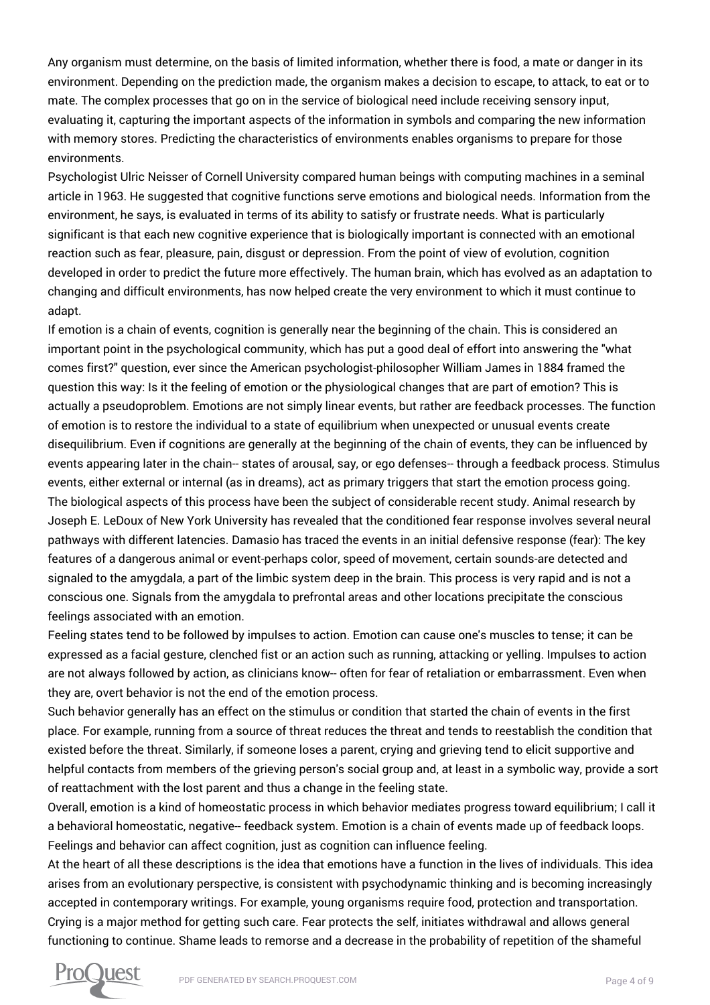Any organism must determine, on the basis of limited information, whether there is food, a mate or danger in its environment. Depending on the prediction made, the organism makes a decision to escape, to attack, to eat or to mate. The complex processes that go on in the service of biological need include receiving sensory input. evaluating it, capturing the important aspects of the information in symbols and comparing the new information with memory stores. Predicting the characteristics of environments enables organisms to prepare for those environments.

Psychologist Ulric Neisser of Cornell University compared human beings with computing machines in a seminal article in 1963. He suggested that cognitive functions serve emotions and biological needs. Information from the environment, he says, is evaluated in terms of its ability to satisfy or frustrate needs. What is particularly significant is that each new cognitive experience that is biologically important is connected with an emotional reaction such as fear, pleasure, pain, disgust or depression. From the point of view of evolution, cognition developed in order to predict the future more effectively. The human brain, which has evolved as an adaptation to changing and difficult environments, has now helped create the very environment to which it must continue to adapt.

If emotion is a chain of events, cognition is generally near the beginning of the chain. This is considered an important point in the psychological community, which has put a good deal of effort into answering the "what comes first?" question, ever since the American psychologist-philosopher William James in 1884 framed the question this way: Is it the feeling of emotion or the physiological changes that are part of emotion? This is actually a pseudoproblem. Emotions are not simply linear events, but rather are feedback processes. The function of emotion is to restore the individual to a state of equilibrium when unexpected or unusual events create disequilibrium. Even if cognitions are generally at the beginning of the chain of events, they can be influenced by events appearing later in the chain-- states of arousal, say, or ego defenses-- through a feedback process. Stimulus events, either external or internal (as in dreams), act as primary triggers that start the emotion process going. The biological aspects of this process have been the subject of considerable recent study. Animal research by Joseph E. LeDoux of New York University has revealed that the conditioned fear response involves several neural pathways with different latencies. Damasio has traced the events in an initial defensive response (fear): The key features of a dangerous animal or event-perhaps color, speed of movement, certain sounds-are detected and signaled to the amygdala, a part of the limbic system deep in the brain. This process is very rapid and is not a conscious one. Signals from the amygdala to prefrontal areas and other locations precipitate the conscious feelings associated with an emotion.

Feeling states tend to be followed by impulses to action. Emotion can cause one's muscles to tense; it can be expressed as a facial gesture, clenched fist or an action such as running, attacking or yelling. Impulses to action are not always followed by action, as clinicians know-- often for fear of retaliation or embarrassment. Even when they are, overt behavior is not the end of the emotion process.

Such behavior generally has an effect on the stimulus or condition that started the chain of events in the first place. For example, running from a source of threat reduces the threat and tends to reestablish the condition that existed before the threat. Similarly, if someone loses a parent, crying and grieving tend to elicit supportive and helpful contacts from members of the grieving person's social group and, at least in a symbolic way, provide a sort of reattachment with the lost parent and thus a change in the feeling state.

Overall, emotion is a kind of homeostatic process in which behavior mediates progress toward equilibrium; I call it a behavioral homeostatic, negative-- feedback system. Emotion is a chain of events made up of feedback loops. Feelings and behavior can affect cognition, just as cognition can influence feeling.

At the heart of all these descriptions is the idea that emotions have a function in the lives of individuals. This idea arises from an evolutionary perspective, is consistent with psychodynamic thinking and is becoming increasingly accepted in contemporary writings. For example, young organisms require food, protection and transportation. Crying is a major method for getting such care. Fear protects the self, initiates withdrawal and allows general functioning to continue. Shame leads to remorse and a decrease in the probability of repetition of the shameful

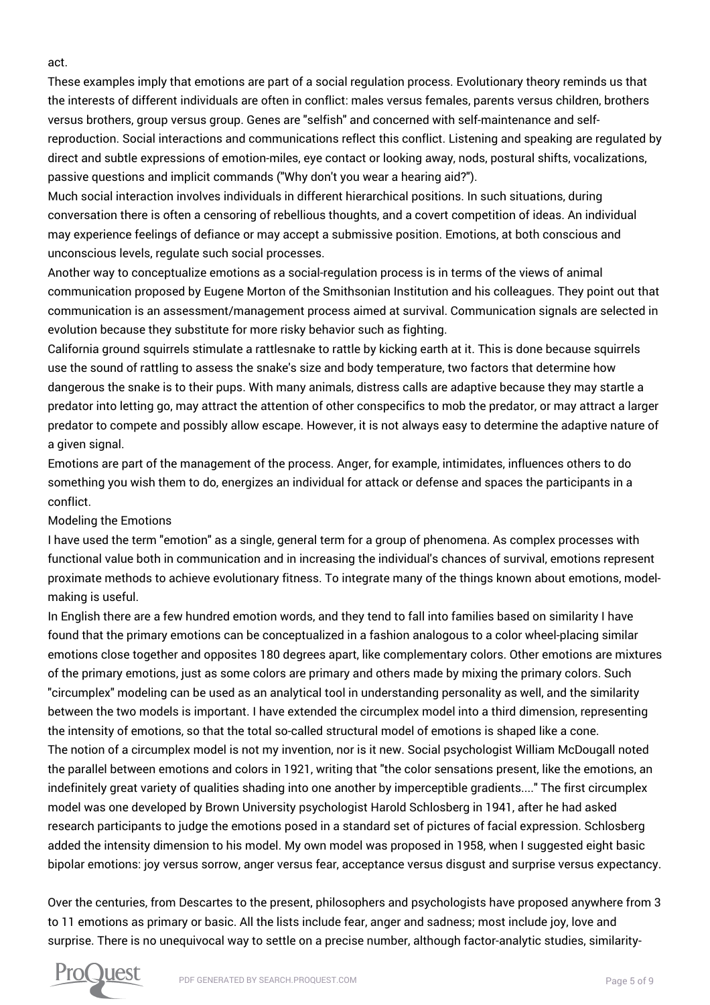These examples imply that emotions are part of a social regulation process. Evolutionary theory reminds us that the interests of different individuals are often in conflict: males versus females, parents versus children, brothers versus brothers, group versus group. Genes are "selfish" and concerned with self-maintenance and selfreproduction. Social interactions and communications reflect this conflict. Listening and speaking are regulated by direct and subtle expressions of emotion-miles, eye contact or looking away, nods, postural shifts, vocalizations, passive questions and implicit commands ("Why don't you wear a hearing aid?").

Much social interaction involves individuals in different hierarchical positions. In such situations, during conversation there is often a censoring of rebellious thoughts, and a covert competition of ideas. An individual may experience feelings of defiance or may accept a submissive position. Emotions, at both conscious and unconscious levels, regulate such social processes.

Another way to conceptualize emotions as a social-regulation process is in terms of the views of animal communication proposed by Eugene Morton of the Smithsonian Institution and his colleagues. They point out that communication is an assessment/management process aimed at survival. Communication signals are selected in evolution because they substitute for more risky behavior such as fighting.

California ground squirrels stimulate a rattlesnake to rattle by kicking earth at it. This is done because squirrels use the sound of rattling to assess the snake's size and body temperature, two factors that determine how dangerous the snake is to their pups. With many animals, distress calls are adaptive because they may startle a predator into letting go, may attract the attention of other conspecifics to mob the predator, or may attract a larger predator to compete and possibly allow escape. However, it is not always easy to determine the adaptive nature of a given signal.

Emotions are part of the management of the process. Anger, for example, intimidates, influences others to do something you wish them to do, energizes an individual for attack or defense and spaces the participants in a conflict.

## Modeling the Emotions

I have used the term "emotion" as a single, general term for a group of phenomena. As complex processes with functional value both in communication and in increasing the individual's chances of survival, emotions represent proximate methods to achieve evolutionary fitness. To integrate many of the things known about emotions, modelmaking is useful.

In English there are a few hundred emotion words, and they tend to fall into families based on similarity I have found that the primary emotions can be conceptualized in a fashion analogous to a color wheel-placing similar emotions close together and opposites 180 degrees apart, like complementary colors. Other emotions are mixtures of the primary emotions, just as some colors are primary and others made by mixing the primary colors. Such "circumplex" modeling can be used as an analytical tool in understanding personality as well, and the similarity between the two models is important. I have extended the circumplex model into a third dimension, representing the intensity of emotions, so that the total so-called structural model of emotions is shaped like a cone. The notion of a circumplex model is not my invention, nor is it new. Social psychologist William McDougall noted the parallel between emotions and colors in 1921, writing that "the color sensations present, like the emotions, an indefinitely great variety of qualities shading into one another by imperceptible gradients...." The first circumplex model was one developed by Brown University psychologist Harold Schlosberg in 1941, after he had asked research participants to judge the emotions posed in a standard set of pictures of facial expression. Schlosberg added the intensity dimension to his model. My own model was proposed in 1958, when I suggested eight basic bipolar emotions: joy versus sorrow, anger versus fear, acceptance versus disgust and surprise versus expectancy.

Over the centuries, from Descartes to the present, philosophers and psychologists have proposed anywhere from 3 to 11 emotions as primary or basic. All the lists include fear, anger and sadness; most include joy, love and surprise. There is no unequivocal way to settle on a precise number, although factor-analytic studies, similarity-



act.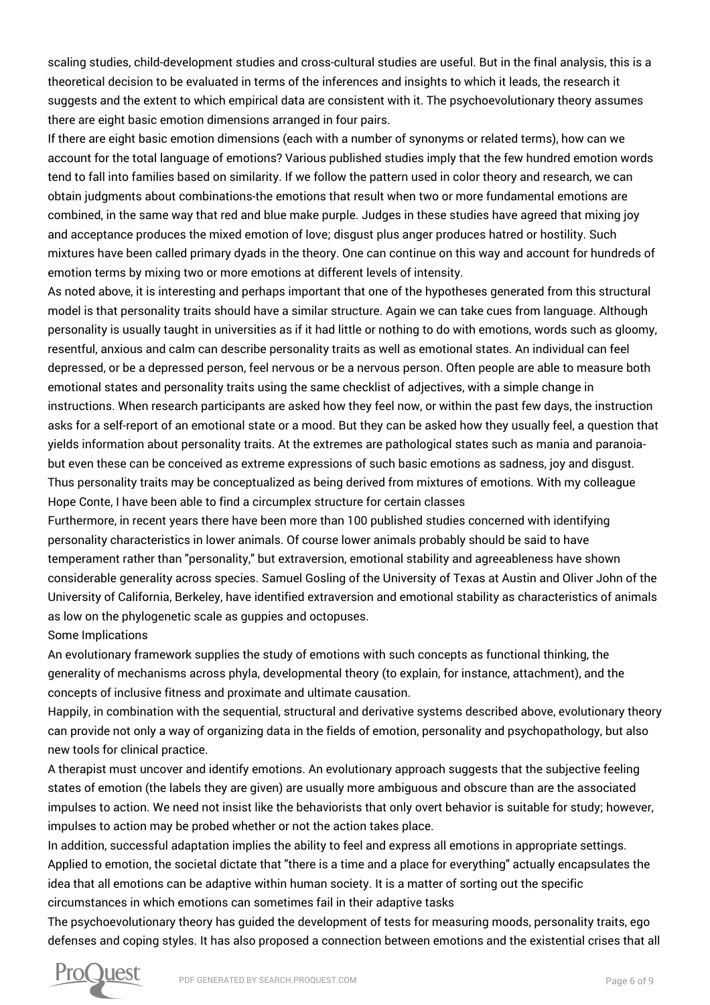scaling studies, child-development studies and cross-cultural studies are useful. But in the final analysis, this is a theoretical decision to be evaluated in terms of the inferences and insights to which it leads, the research it suggests and the extent to which empirical data are consistent with it. The psychoevolutionary theory assumes there are eight basic emotion dimensions arranged in four pairs.

If there are eight basic emotion dimensions (each with a number of synonyms or related terms), how can we account for the total language of emotions? Various published studies imply that the few hundred emotion words tend to fall into families based on similarity. If we follow the pattern used in color theory and research, we can obtain judgments about combinations-the emotions that result when two or more fundamental emotions are combined, in the same way that red and blue make purple. Judges in these studies have agreed that mixing joy and acceptance produces the mixed emotion of love; disgust plus anger produces hatred or hostility. Such mixtures have been called primary dyads in the theory. One can continue on this way and account for hundreds of emotion terms by mixing two or more emotions at different levels of intensity.

As noted above, it is interesting and perhaps important that one of the hypotheses generated from this structural model is that personality traits should have a similar structure. Again we can take cues from language. Although personality is usually taught in universities as if it had little or nothing to do with emotions, words such as gloomy, resentful, anxious and calm can describe personality traits as well as emotional states. An individual can feel depressed, or be a depressed person, feel nervous or be a nervous person. Often people are able to measure both emotional states and personality traits using the same checklist of adjectives, with a simple change in instructions. When research participants are asked how they feel now, or within the past few days, the instruction asks for a self-report of an emotional state or a mood. But they can be asked how they usually feel, a question that yields information about personality traits. At the extremes are pathological states such as mania and paranoiabut even these can be conceived as extreme expressions of such basic emotions as sadness, joy and disgust. Thus personality traits may be conceptualized as being derived from mixtures of emotions. With my colleague Hope Conte, I have been able to find a circumplex structure for certain classes

Furthermore, in recent years there have been more than 100 published studies concerned with identifying personality characteristics in lower animals. Of course lower animals probably should be said to have temperament rather than "personality," but extraversion, emotional stability and agreeableness have shown considerable generality across species. Samuel Gosling of the University of Texas at Austin and Oliver John of the University of California, Berkeley, have identified extraversion and emotional stability as characteristics of animals as low on the phylogenetic scale as guppies and octopuses.

#### Some Implications

An evolutionary framework supplies the study of emotions with such concepts as functional thinking, the generality of mechanisms across phyla, developmental theory (to explain, for instance, attachment), and the concepts of inclusive fitness and proximate and ultimate causation.

Happily, in combination with the sequential, structural and derivative systems described above, evolutionary theory can provide not only a way of organizing data in the fields of emotion, personality and psychopathology, but also new tools for clinical practice.

A therapist must uncover and identify emotions. An evolutionary approach suggests that the subjective feeling states of emotion (the labels they are given) are usually more ambiguous and obscure than are the associated impulses to action. We need not insist like the behaviorists that only overt behavior is suitable for study; however, impulses to action may be probed whether or not the action takes place.

In addition, successful adaptation implies the ability to feel and express all emotions in appropriate settings. Applied to emotion, the societal dictate that "there is a time and a place for everything" actually encapsulates the idea that all emotions can be adaptive within human society. It is a matter of sorting out the specific circumstances in which emotions can sometimes fail in their adaptive tasks

The psychoevolutionary theory has guided the development of tests for measuring moods, personality traits, ego defenses and coping styles. It has also proposed a connection between emotions and the existential crises that all

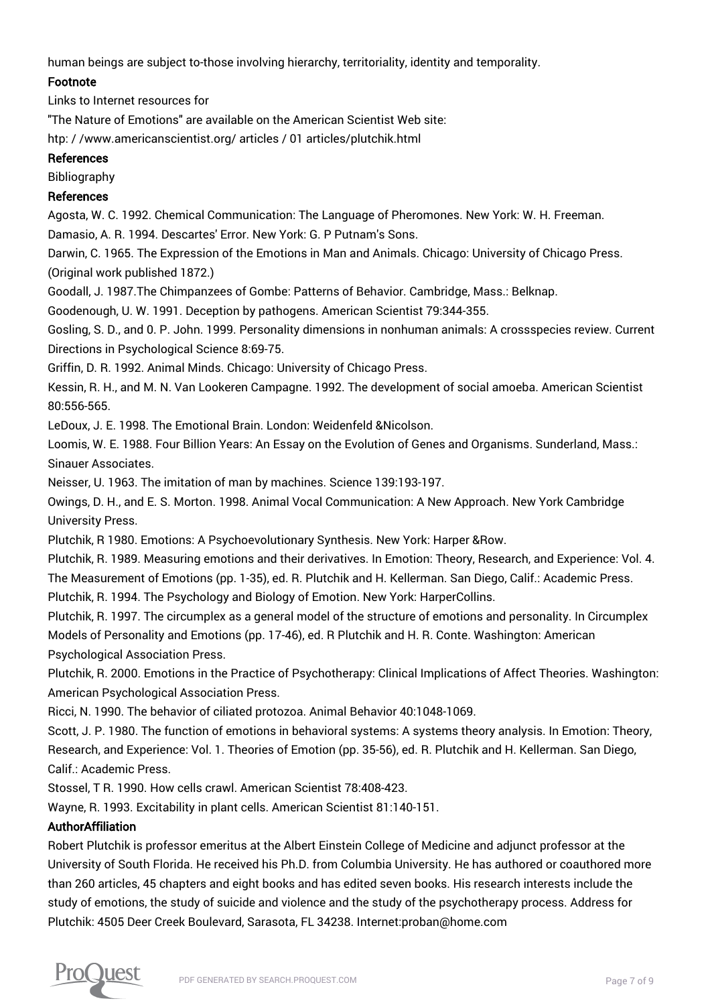human beings are subject to-those involving hierarchy, territoriality, identity and temporality.

## Footnote

Links to Internet resources for

"The Nature of Emotions" are available on the American Scientist Web site:

htp: / /www.americanscientist.org/ articles / 01 articles/plutchik.html

#### References

Bibliography

### References

Agosta, W. C. 1992. Chemical Communication: The Language of Pheromones. New York: W. H. Freeman.

Damasio, A. R. 1994. Descartes' Error. New York: G. P Putnam's Sons.

Darwin, C. 1965. The Expression of the Emotions in Man and Animals. Chicago: University of Chicago Press. (Original work published 1872.)

Goodall, J. 1987.The Chimpanzees of Gombe: Patterns of Behavior. Cambridge, Mass.: Belknap.

Goodenough, U. W. 1991. Deception by pathogens. American Scientist 79:344-355.

Gosling, S. D., and 0. P. John. 1999. Personality dimensions in nonhuman animals: A crossspecies review. Current Directions in Psychological Science 8:69-75.

Griffin, D. R. 1992. Animal Minds. Chicago: University of Chicago Press.

Kessin, R. H., and M. N. Van Lookeren Campagne. 1992. The development of social amoeba. American Scientist 80:556-565.

LeDoux, J. E. 1998. The Emotional Brain. London: Weidenfeld &Nicolson.

Loomis, W. E. 1988. Four Billion Years: An Essay on the Evolution of Genes and Organisms. Sunderland, Mass.: Sinauer Associates.

Neisser, U. 1963. The imitation of man by machines. Science 139:193-197.

Owings, D. H., and E. S. Morton. 1998. Animal Vocal Communication: A New Approach. New York Cambridge University Press.

Plutchik, R 1980. Emotions: A Psychoevolutionary Synthesis. New York: Harper &Row.

Plutchik, R. 1989. Measuring emotions and their derivatives. In Emotion: Theory, Research, and Experience: Vol. 4. The Measurement of Emotions (pp. 1-35), ed. R. Plutchik and H. Kellerman. San Diego, Calif.: Academic Press. Plutchik, R. 1994. The Psychology and Biology of Emotion. New York: HarperCollins.

Plutchik, R. 1997. The circumplex as a general model of the structure of emotions and personality. In Circumplex Models of Personality and Emotions (pp. 17-46), ed. R Plutchik and H. R. Conte. Washington: American Psychological Association Press.

Plutchik, R. 2000. Emotions in the Practice of Psychotherapy: Clinical Implications of Affect Theories. Washington: American Psychological Association Press.

Ricci, N. 1990. The behavior of ciliated protozoa. Animal Behavior 40:1048-1069.

Scott, J. P. 1980. The function of emotions in behavioral systems: A systems theory analysis. In Emotion: Theory, Research, and Experience: Vol. 1. Theories of Emotion (pp. 35-56), ed. R. Plutchik and H. Kellerman. San Diego, Calif.: Academic Press.

Stossel, T R. 1990. How cells crawl. American Scientist 78:408-423.

Wayne, R. 1993. Excitability in plant cells. American Scientist 81:140-151.

## AuthorAffiliation

Robert Plutchik is professor emeritus at the Albert Einstein College of Medicine and adjunct professor at the University of South Florida. He received his Ph.D. from Columbia University. He has authored or coauthored more than 260 articles, 45 chapters and eight books and has edited seven books. His research interests include the study of emotions, the study of suicide and violence and the study of the psychotherapy process. Address for Plutchik: 4505 Deer Creek Boulevard, Sarasota, FL 34238. Internet:proban@home.com

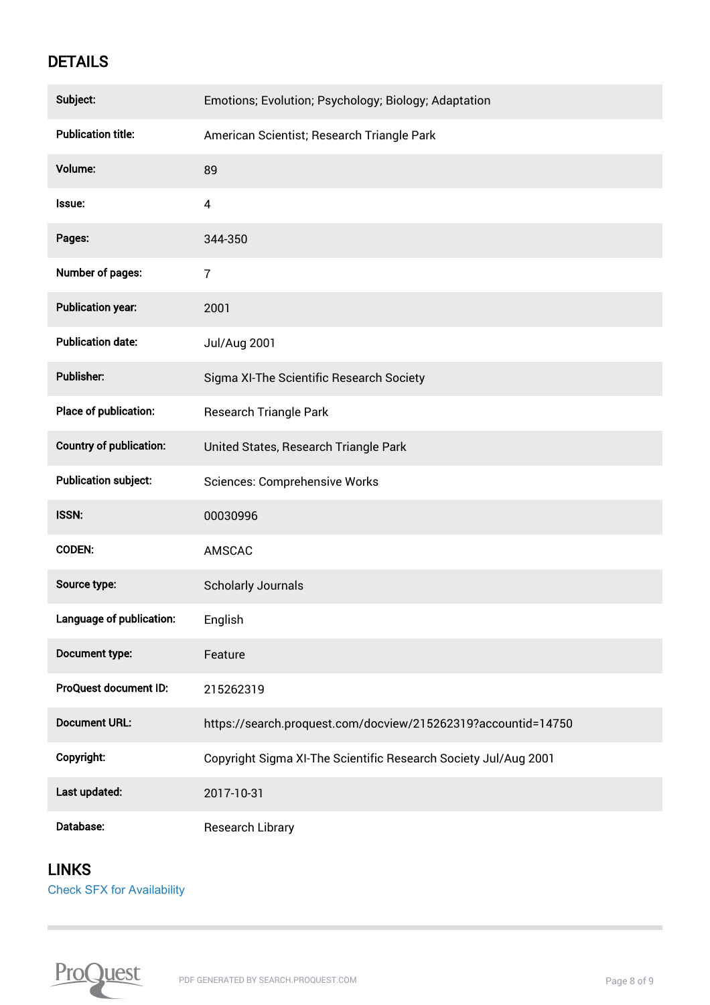# **DETAILS**

| Subject:                       | Emotions; Evolution; Psychology; Biology; Adaptation            |
|--------------------------------|-----------------------------------------------------------------|
| <b>Publication title:</b>      | American Scientist; Research Triangle Park                      |
| Volume:                        | 89                                                              |
| Issue:                         | $\pmb{4}$                                                       |
| Pages:                         | 344-350                                                         |
| <b>Number of pages:</b>        | $\overline{7}$                                                  |
| <b>Publication year:</b>       | 2001                                                            |
| <b>Publication date:</b>       | Jul/Aug 2001                                                    |
| <b>Publisher:</b>              | Sigma XI-The Scientific Research Society                        |
| Place of publication:          | <b>Research Triangle Park</b>                                   |
| <b>Country of publication:</b> | United States, Research Triangle Park                           |
| <b>Publication subject:</b>    | <b>Sciences: Comprehensive Works</b>                            |
| ISSN:                          | 00030996                                                        |
| <b>CODEN:</b>                  | AMSCAC                                                          |
| Source type:                   | <b>Scholarly Journals</b>                                       |
| Language of publication:       | English                                                         |
| Document type:                 | Feature                                                         |
| <b>ProQuest document ID:</b>   | 215262319                                                       |
| <b>Document URL:</b>           | https://search.proquest.com/docview/215262319?accountid=14750   |
| Copyright:                     | Copyright Sigma XI-The Scientific Research Society Jul/Aug 2001 |
| Last updated:                  | 2017-10-31                                                      |
| Database:                      | <b>Research Library</b>                                         |

# LINKS

 $\sim$ 

[Check SFX for Availability](https://usd-primo.hosted.exlibrisgroup.com/openurl/01SDBOR_USD/01SDBOR_USD_SP??url_ver=Z39.88-2004&rft_val_fmt=info:ofi/fmt:kev:mtx:journal&genre=article&sid=ProQ:ProQ:pqrl&atitle=The%20nature%20of%20emotions&title=American%20Scientist&issn=00030996&date=2001-07-01&volume=89&issue=4&spage=344&au=Plutchik,%20Robert&isbn=&jtitle=American%20Scientist&btitle=&rft_id=info:eric/&rft_id=info:doi/)